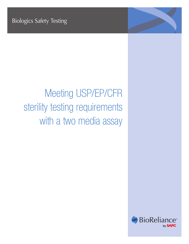# Meeting USP/EP/CFR sterility testing requirements with a two media assay

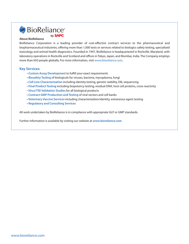## SBioReliance<sup>®</sup> by **SAFC**

#### **About BioReliance**

BioReliance Corporation is a leading provider of cost-effective contract services to the pharmaceutical and biopharmaceutical industries, offering more than 1,000 tests or services related to biologics safety testing, specialized toxicology and animal health diagnostics. Founded in 1947, BioReliance is headquartered in Rockville, Maryland, with laboratory operations in Rockville and Scotland and offices in Tokyo, Japan, and Mumbai, India. The Company employs more than 650 people globally. For more information, visit www.bioreliance.com.

#### **Key Services:**

- **Custom Assay Development** to fulfill your exact requirements
- **Biosafety Testing** of biologicals for viruses, bacteria, mycoplasma, fungi
- **Cell Line Characterization** including identity testing, genetic stability, EM, sequencing
- **Final Product Testing** including biopotency testing, residual DNA, host cell proteins, cross-reactivity
- **Virus/TSE Validation Studies** for all biological products
- **Contract GMP Production and Testing** of viral vectors and cell banks
- **Veterinary Vaccine Services** including characterization/identity, extraneous agent testing
- **Regulatory and Consulting Services**

All work undertaken by BioReliance is in compliance with appropriate GLP or GMP standards.

Further information is available by visiting our website at **www.bioreliance.com**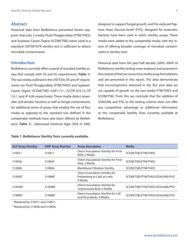## **Abstract**

Historical data from BioReliance presented herein supports that only 2 media, Fluid Thioglycollate (FTM(THIO)) and Soybean-Casein Digest (SCDM(TSB)) when used in a standard USP/EP/CFR sterility test is sufficient to detect microbial contaminants.

## **Introduction**

BioReliance currently offers a panel of standard sterility assays that comply with US and EU requirements (**Table 1**). The two media outlined in the USP, FDA, EP and JP requirements are Fluid Thioglycollate (FTM(THIO)) and Soybean-Casein Digest (SCDM(TSB)) (USP<71>, 21CFR 610.12, EP 2.6.1, and JP 4.06 respectively). These media detect anaerobic and aerobic bacteria as well as fungal contaminants. An additional series of assays that employ the use of four media as opposed to the standard two defined in the compendial methods have also been offered by BioReliance (**Table 1**). Sabouraud Dextrose Agar (SDA or SAB),

#### **Table 1. BioReliance Sterility Tests currently available.**

designed to support fungal growth, and Pre-reduced Peptone Yeast Glucose broth (PYG), designed for anaerobic bacteria have been used in select sterility assays. These media were added to the compendial media with the intent of offering broader coverage of microbial contaminants in sterility tests.

Historical data from the past half decade (2005–2009) of BioReliance sterility testing were analyzed and assessed in the context of the two versus four media assay formulations and are presented in this report. The data demonstrate that microorganisms detected in the five year data set are capable of growth on the two media FTM(THIO) and SCDM(TSB). From this we conclude that the addition of SDA(SAB) and PYG to the testing scheme does not offer any competitive advantage or additional information to the compendial Sterility Tests currently available at BioReliance.

| <b>GLP Assay Number</b> | <b>GMP Assay Number</b> | <b>Assay Description</b>                                                     | <b>Media</b>                     |
|-------------------------|-------------------------|------------------------------------------------------------------------------|----------------------------------|
| 510011                  | 510811                  | Direct Inoculation Sterility for Final<br>Bulk, 2 Media                      | SCDM(TSB)/FTM(THIO)              |
| 510036                  | 510836                  | Direct Inoculation Sterility for Final<br>Vials, 2 Media                     | SCDM(TSB)/FTM(THIO)              |
| 510006                  | 510806                  | <b>Membrane Filtration Sterility</b>                                         | SCDM(TSB)/FTM(THIO)              |
| 510000                  | 510888                  | Direct Inoculation Sterility for<br>Prebanking or Cells at Limit,<br>4 Media | SCDM(TSB)/FTM(THIO)/SDA(SAB)/PYG |
| 510D00 <sup>1</sup>     | 510D88 <sup>1</sup>     | Direct Inoculation Sterility for<br>Unprocessed Bulk, 4 Media                | SCDM(TSB)/FTM(THIO)/SDA(SAB)/PYG |
| 510R00 <sup>2</sup>     | 510R88 <sup>2</sup>     | Direct Inoculation Sterility for Cell<br>and Virus Banks, 4 Media            | SCDM(TSB)/FTM(THIO)/SDA(SAB)/PYG |
|                         |                         |                                                                              |                                  |

1 Replaced by 510011 and 510811.

2 Replaced by 510036 and 510836.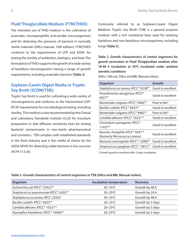## **Fluid Thioglycollate Medium (FTM(THIO))**

The intended use of THIO medium is the cultivation of anaerobic, microaerophillic and aerobic microorganisms and for detecting the presence of bacteria in normally sterile materials (Difco manual, 10th edition). FTM(THIO) conforms to the requirements of USP and AOAC for testing the sterility of antibiotics, biologics, and food. The formulation of THIO supports the growth of a wide variety of fastidious microorganisms having a range of growth requirements, including anaerobic bacteria (**Table 2**).

## **Soybean-Casein Digest Media or Tryptic Soy Broth (SCDM(TSB))**

Tryptic Soy Broth is used for cultivating a wide variety of microorganisms and conforms to the Harmonized USP/ EP/JP requirements for microbiological testing, including sterility. This medium is also recommended by the Clinical and Laboratory Standards Institute (CLSI) for inoculum preparation in disk diffusion sensitivity tests for testing bacterial contaminants in non-sterile pharmaceutical and cosmetics. TSB complies with established standards in the food industry and is the media of choice by the USDA APHIS for detecting viable bacteria in live vaccines (9CFR:113.26).

Commonly referred to as Soybean-Casein Digest Medium, Tryptic Soy Broth (TSB) is a general purpose medium with a rich nutritional base used for isolating fastidious and non-fastidious microorganisms, including fungi (**Table 3**).

**Table 2. Growth characteristics of control organisms for growth promotion in Fluid Thioglycollate medium after 18-48 h incubation at 35ºC incubated under ambient (aerobic) conditions**

(Difco 10th ed.; Difco and BBL Manual online).

| Organism                                           | Growth                    |  |
|----------------------------------------------------|---------------------------|--|
| Staphylococcus aureus ATCC <sup>®</sup> 6538™      | Good to excellent         |  |
| Pseudomonas aeruginosa ATCC <sup>®</sup><br>9027™  | Good to excellent         |  |
| Bacteroides vulgatus ATCC® 8482™                   | Poor to fair <sup>*</sup> |  |
| Bacillus subtilis ATCC® 6633™                      | Good to excellent         |  |
| Bacteroides vulgatus ATCC® 8482™                   | Poor to fair*             |  |
| Candida albicans ATCC® 10231™                      | Good to excellent         |  |
| Clostridium sporogenes ATCC <sup>®</sup><br>11437™ | Good to excellent         |  |
| Kocuria. rhizophila ATCC® 9341™                    | Good to excellent         |  |
| (formerly Micrococcus luteus)                      |                           |  |
| Neisseria meningitidis ATCC® 13090™                | Good to excellent         |  |
| Streptococcus pyogenes ATCC® 19615™                | Good to excellent         |  |

\* Growth good to excellent after 3 days incubation.

| Organism                                          | <b>Incubation temperature</b> | <b>Recovery</b>  |
|---------------------------------------------------|-------------------------------|------------------|
| Escherichia coli ATCC® 25922™                     | $30 - 35$ °C                  | Growth by 48 h   |
| Streptococcus pneumoniae ATCC® 6305™              | $30 - 35$ °C                  | Growth by 24 h   |
| Staphylococcus aureus ATCC 25923                  | $30 - 35$ °C                  | Growth by 48 h   |
| Bacillus subtilis ATCC® 6633™                     | $20 - 25$ °C                  | Growth by 3 days |
| Candida albicans ATCC <sup>®</sup> 10231™         | $20 - 25$ °C                  | Growth by 5 days |
| Aspergillus brasiliensis ATCC <sup>®</sup> 16404™ | $20 - 25$ °C                  | Growth by 5 days |

#### **Table 3. Growth characteristics of control organisms in TSB (Difco and BBL Manual online).**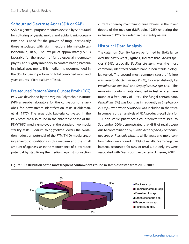## **Sabouraud Dextrose Agar (SDA or SAB)**

SAB is a general-purpose medium devised by Sabouraud for culturing of yeasts, molds, and aciduric microorganisms and is used for the growth of fungi, particularly those associated with skin infections (dermatophytes) (Sabouraud, 1892). The low pH of approximately 5.6 is favorable for the growth of fungi, especially dermatophytes, and slightly inhibitory to contaminating bacteria in clinical specimens. This medium is recommended in the *USP* for use in performing total combined mold and yeast counts (Microbial Limit Tests).

#### **Pre-reduced Peptone Yeast Glucose Broth (PYG)**

PYG was developed by the Virginia Polytechnic Institute (VPI) anaerobe laboratory for the cultivation of anaerobes for downstream identification tests (Holdeman, et al., 1977). The anaerobic bacteria cultivated in the PYG broth are also found in the anaerobic phase of the FTM(THIO) media employed in the standard two media sterility tests. Sodium thioglycollate lowers the oxidation–reduction potential of the FTM(THIO) media creating anaerobic conditions in this medium and the small amount of agar assists in the maintenance of a low redox potential by stabilizing the medium against convection currents, thereby maintaining anaerobiosis in the lower depths of the medium (McFaddin, 1985) rendering the inclusion of PYG redundant in the sterility assays.

### **Historical Data Analysis**

The data from Sterility Assays performed by BioReliance over the past 5 years (**Figure 1**) indicate that *Bacillus* species (19%), especially *Bacillus circulans*, was the most commonly identified contaminant in non-sterile biologics tested. The second most common cause of failure was *Proprionibacterium spp.* (17%), followed distantly by P*aenibacillus spp.* (8%) and *Staphylococcus spp.* (7%). The remaining contaminants identified in test articles were found at a frequency of 1-3%. The fungal contaminant, *Penicillium* (5%) was found as infrequently as *Staphylcoccus spp.*, even when SDA(SAB) was included in the tests. In comparison, an analysis of FDA product recall data for 134 non-sterile pharmaceutical products from 1998 to September 2006 demonstrated that 48% of recalls were due to contamination by *Burkholderia cepacia*, *Pseudomonas spp.*, or *Ralstonia picketti*, while yeast and mold contamination were found in 23% of recalls. Gram-negative bacteria accounted for 60% of recalls, but only 4% were associated with Gram-positive bacteria (Jimenez, 2007).



#### **Figure 1. Distribution of the most frequent contaminants found in samples tested from 2005-2009.**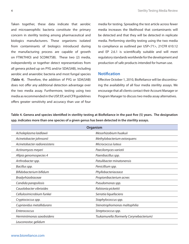Taken together, these data indicate that aerobic and microaerophilic bacteria constitute the primary concern in sterility testing among pharmaceutical and biologics manufacturers. These organisms isolated from contaminants of biologics introduced during the manufacturing process are capable of growth on FTM(THIO) and SCDM(TSB). These two (2) media, independently or together detect representatives from all genera picked up on PYG and/or SDA(SAB), including aerobic and anaerobic bacteria and most fungal species (**Table 4**). Therefore, the addition of PYG or SDA(SAB) does not offer any additional detection advantage over the two media assay. Furthermore, testing using two media as recommended in the USP, EP, and CFR guidelines offers greater sensitivity and accuracy than use of four

media for testing. Spreading the test article across fewer media increases the likelihood that contaminants will be detected and that they will be detected in replicate media. Performing sterility testing using the two media to compliance as outlined per USP<71>, 21CFR 610.12 and EP 2.6.1 is scientifically suitable and will meet regulatory standards worldwide for the development and production of safe products intended for human use.

## **Notification**

Effective October 1, 2010, BioReliance will be discontinuing the availability of all four media sterility assays. We encourage that all clients contact their Account Manager or Program Manager to discuss two media assay alternatives.

**Table 4. Genera and species identified in sterility testing at BioReliance in the past five (5) years. The designation spp. indicates more than one species of a given genus has been detected in the sterility assays.**

| Organism                     |                                         |  |  |
|------------------------------|-----------------------------------------|--|--|
| Acholeplasma laidlawii       | Mesorhizobium huakuii                   |  |  |
| Acinetobacter johnsonii      | Methylobacterium extorquens             |  |  |
| Acinetobacter radioresistens | Micrococcus luteus                      |  |  |
| Actinomyces meyeri           | Paecilomyces variotii                   |  |  |
| Afipia genomospecies 4       | Paenibacillus spp.                      |  |  |
| Arthrobacter spp.            | Patulibacter minatonensis               |  |  |
| Bacillus spp.                | Penicillium spp.                        |  |  |
| Bifidobacterium bifidum      | Phyllobacteriaceace                     |  |  |
| Bradyrhizobiaceae            | Propionibacterium acnes                 |  |  |
| Candida parapsilosis         | Pseudomonas spp.                        |  |  |
| Cauolobacter vibrioides      | Ralstonia pickettii                     |  |  |
| Cellulosimicrobium funkei    | Serratia liquefaciens                   |  |  |
| Cryptococcus spp.            | Staphylococcus spp.                     |  |  |
| Cupriavidus metallidurans    | Stenotrophomonas maltophilia            |  |  |
| Enterococcus                 | Streptococcus spp.                      |  |  |
| Herminiimonas saxobsidens    | Tsukamurella (formerly Corynebacterium) |  |  |
| Leuconostoc gelidum          |                                         |  |  |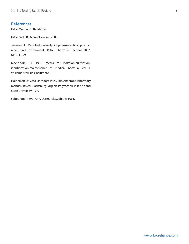## **References**

Difco Manual, 10th edition.

Difco and BBL Manual, online, 2009.

Jimenez, L, Microbial diversity in pharmaceutical product recalls and environments. PDA J Pharm Sci Technol. 2007. 61:383-399

MacFaddin, J.F. 1985. Media for isolation-cultivationidentification-maintenance of medical bacteria, vol. I. Williams & Wilkins, Baltimore.

Holdeman LV, Cato EP, Moore WEC, Eds. Anaerobe laboratory manual. 4th ed. Blacksburg: Virginia Polytechnic Institute and State University, 1977.

Sabouraud. 1892. Ann. Dermatol. Syphil. 3: 1061.